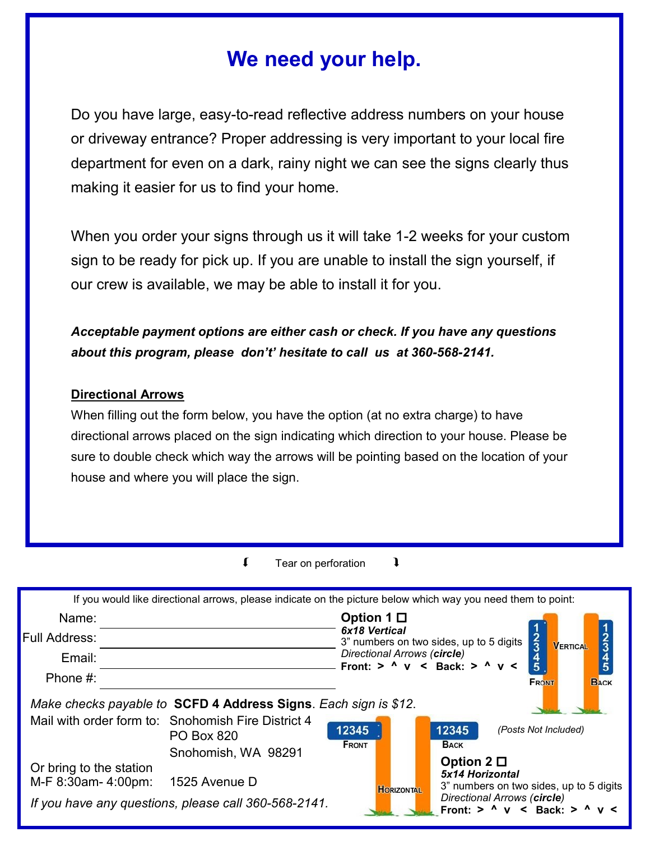## **We need your help.**

Do you have large, easy-to-read reflective address numbers on your house or driveway entrance? Proper addressing is very important to your local fire department for even on a dark, rainy night we can see the signs clearly thus making it easier for us to find your home.

When you order your signs through us it will take 1-2 weeks for your custom sign to be ready for pick up. If you are unable to install the sign yourself, if our crew is available, we may be able to install it for you.

*Acceptable payment options are either cash or check. If you have any questions about this program, please don't' hesitate to call us at 360-568-2141.*

## **Directional Arrows**

When filling out the form below, you have the option (at no extra charge) to have directional arrows placed on the sign indicating which direction to your house. Please be sure to double check which way the arrows will be pointing based on the location of your house and where you will place the sign.

## $\sqrt{ }$  Tear on perforation  $\sqrt{ }$

|                                                      | If you would like directional arrows, please indicate on the picture below which way you need them to point: |                                                                                                   |                                                                                      |                                                                 |  |
|------------------------------------------------------|--------------------------------------------------------------------------------------------------------------|---------------------------------------------------------------------------------------------------|--------------------------------------------------------------------------------------|-----------------------------------------------------------------|--|
| Name:                                                |                                                                                                              |                                                                                                   | Option $1 \Box$                                                                      |                                                                 |  |
| <b>Full Address:</b>                                 |                                                                                                              | 6x18 Vertical<br>$\frac{2}{3}$<br>3" numbers on two sides, up to 5 digits<br>3<br><b>VERTICAL</b> |                                                                                      |                                                                 |  |
| Email:                                               |                                                                                                              | Directional Arrows (circle)<br>$\frac{4}{5}$<br>Front: $>$ ^ v < Back: $>$ ^ v <                  |                                                                                      |                                                                 |  |
| Phone $#$ :                                          |                                                                                                              |                                                                                                   |                                                                                      | <b>BACK</b><br><b>FRONT</b>                                     |  |
|                                                      | Make checks payable to SCFD 4 Address Signs. Each sign is \$12.                                              |                                                                                                   |                                                                                      |                                                                 |  |
|                                                      | Mail with order form to: Snohomish Fire District 4<br><b>PO Box 820</b><br>Snohomish, WA 98291               | 12345<br><b>FRONT</b>                                                                             | 12345<br><b>BACK</b>                                                                 | (Posts Not Included)                                            |  |
| Or bring to the station<br>M-F 8:30am- 4:00pm:       | 1525 Avenue D                                                                                                | <b>HORIZONTAL</b>                                                                                 | Option $2 \Box$<br><b>5x14 Horizontal</b><br>3" numbers on two sides, up to 5 digits |                                                                 |  |
| If you have any questions, please call 360-568-2141. |                                                                                                              |                                                                                                   |                                                                                      | Directional Arrows (circle)<br>Front: $>$ ^ v < Back: $>$ ^ v < |  |